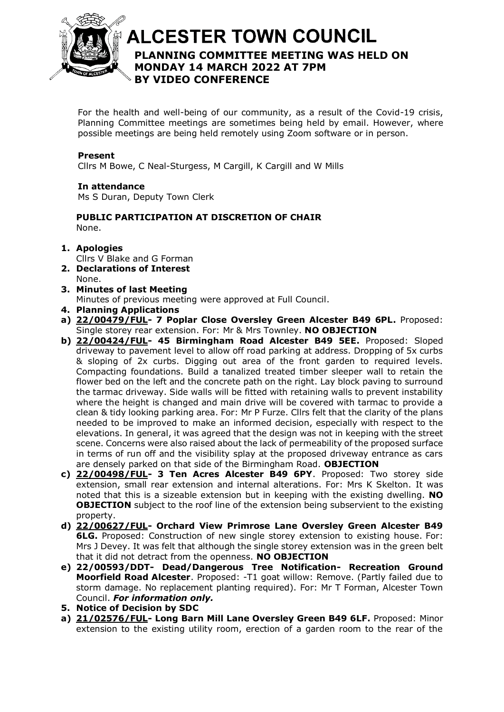

# **ALCESTER TOWN COUNCIL PLANNING COMMITTEE MEETING WAS HELD ON**  At the discretion of the Chair **MONDAY 14 MARCH 2022 AT 7PM BY VIDEO CONFERENCE**

For the health and well-being of our community, as a result of the Covid-19 crisis, Planning Committee meetings are sometimes being held by email. However, where possible meetings are being held remotely using Zoom software or in person.

#### **Present**

Cllrs M Bowe, C Neal-Sturgess, M Cargill, K Cargill and W Mills

#### **In attendance**

Ms S Duran, Deputy Town Clerk

#### **PUBLIC PARTICIPATION AT DISCRETION OF CHAIR** None.

#### **1. Apologies**

Cllrs V Blake and G Forman

- **2. Declarations of Interest** None.
- **3. Minutes of last Meeting** Minutes of previous meeting were approved at Full Council.
- **4. Planning Applications**
- **a) [22/00479/FUL-](https://apps.stratford.gov.uk/eplanning/AppDetail.aspx?appkey=R7FVP2PMJYT00) 7 Poplar Close Oversley Green Alcester B49 6PL.** Proposed: Single storey rear extension. For: Mr & Mrs Townley. **NO OBJECTION**
- **b) [22/00424/FUL-](https://apps.stratford.gov.uk/eplanning/AppDetail.aspx?appkey=R7ABKOPMIN000) 45 Birmingham Road Alcester B49 5EE.** Proposed: Sloped driveway to pavement level to allow off road parking at address. Dropping of 5x curbs & sloping of 2x curbs. Digging out area of the front garden to required levels. Compacting foundations. Build a tanalized treated timber sleeper wall to retain the flower bed on the left and the concrete path on the right. Lay block paving to surround the tarmac driveway. Side walls will be fitted with retaining walls to prevent instability where the height is changed and main drive will be covered with tarmac to provide a clean & tidy looking parking area. For: Mr P Furze. Cllrs felt that the clarity of the plans needed to be improved to make an informed decision, especially with respect to the elevations. In general, it was agreed that the design was not in keeping with the street scene. Concerns were also raised about the lack of permeability of the proposed surface in terms of run off and the visibility splay at the proposed driveway entrance as cars are densely parked on that side of the Birmingham Road. **OBJECTION**
- **c) [22/00498/FUL-](https://apps.stratford.gov.uk/eplanning/AppDetail.aspx?appkey=R7HVX4PMKH300) 3 Ten Acres Alcester B49 6PY**. Proposed: Two storey side extension, small rear extension and internal alterations. For: Mrs K Skelton. It was noted that this is a sizeable extension but in keeping with the existing dwelling. **NO OBJECTION** subject to the roof line of the extension being subservient to the existing property.
- **d) [22/00627/FUL-](https://apps.stratford.gov.uk/eplanning/AppDetail.aspx?appkey=R80SEMPMG7300) Orchard View Primrose Lane Oversley Green Alcester B49 6LG.** Proposed: Construction of new single storey extension to existing house. For: Mrs J Devey. It was felt that although the single storey extension was in the green belt that it did not detract from the openness. **NO OBJECTION**
- **e) 22/00593/DDT- Dead/Dangerous Tree Notification- Recreation Ground Moorfield Road Alcester**. Proposed: -T1 goat willow: Remove. (Partly failed due to storm damage. No replacement planting required). For: Mr T Forman, Alcester Town Council. *For information only.*
- **5. Notice of Decision by SDC**
- **a) [21/02576/FUL-](https://apps.stratford.gov.uk/eplanning/AppDetail.aspx?appkey=QXNY8XPMJLT00) Long Barn Mill Lane Oversley Green B49 6LF.** Proposed: Minor extension to the existing utility room, erection of a garden room to the rear of the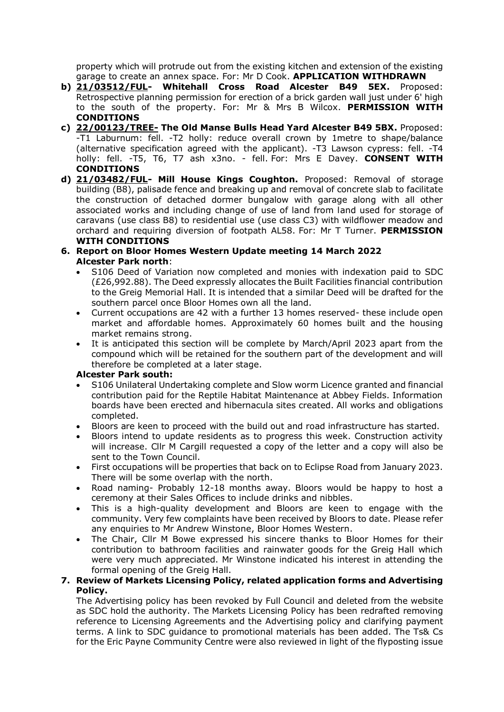property which will protrude out from the existing kitchen and extension of the existing garage to create an annex space. For: Mr D Cook. **APPLICATION WITHDRAWN**

- **b) [21/03512/FUL-](https://apps.stratford.gov.uk/eplanning/AppDetail.aspx?appkey=R1ZW36PML2900) Whitehall Cross Road Alcester B49 5EX.** Proposed: Retrospective planning permission for erection of a brick garden wall just under 6' high to the south of the property. For: Mr & Mrs B Wilcox. **PERMISSION WITH CONDITIONS**
- **c) [22/00123/TREE-](https://apps.stratford.gov.uk/eplanning/AppDetail.aspx?appkey=R5OWZZPMFT400) The Old Manse Bulls Head Yard Alcester B49 5BX.** Proposed: -T1 Laburnum: fell. -T2 holly: reduce overall crown by 1metre to shape/balance (alternative specification agreed with the applicant). -T3 Lawson cypress: fell. -T4 holly: fell. -T5, T6, T7 ash x3no. - fell. For: Mrs E Davey. **CONSENT WITH CONDITIONS**
- **d) [21/03482/FUL-](https://apps.stratford.gov.uk/eplanning/AppDetail.aspx?appkey=R1WCAEPMK8T00) Mill House Kings Coughton.** Proposed: Removal of storage building (B8), palisade fence and breaking up and removal of concrete slab to facilitate the construction of detached dormer bungalow with garage along with all other associated works and including change of use of land from land used for storage of caravans (use class B8) to residential use (use class C3) with wildflower meadow and orchard and requiring diversion of footpath AL58. For: Mr T Turner. **PERMISSION WITH CONDITIONS**
- **6. Report on Bloor Homes Western Update meeting 14 March 2022 Alcester Park north**:
	- S106 Deed of Variation now completed and monies with indexation paid to SDC (£26,992.88). The Deed expressly allocates the Built Facilities financial contribution to the Greig Memorial Hall. It is intended that a similar Deed will be drafted for the southern parcel once Bloor Homes own all the land.
	- Current occupations are 42 with a further 13 homes reserved- these include open market and affordable homes. Approximately 60 homes built and the housing market remains strong.
	- It is anticipated this section will be complete by March/April 2023 apart from the compound which will be retained for the southern part of the development and will therefore be completed at a later stage.

### **Alcester Park south:**

- S106 Unilateral Undertaking complete and Slow worm Licence granted and financial contribution paid for the Reptile Habitat Maintenance at Abbey Fields. Information boards have been erected and hibernacula sites created. All works and obligations completed.
- Bloors are keen to proceed with the build out and road infrastructure has started.
- Bloors intend to update residents as to progress this week. Construction activity will increase. Cllr M Cargill requested a copy of the letter and a copy will also be sent to the Town Council.
- First occupations will be properties that back on to Eclipse Road from January 2023. There will be some overlap with the north.
- Road naming- Probably 12-18 months away. Bloors would be happy to host a ceremony at their Sales Offices to include drinks and nibbles.
- This is a high-quality development and Bloors are keen to engage with the community. Very few complaints have been received by Bloors to date. Please refer any enquiries to Mr Andrew Winstone, Bloor Homes Western.
- The Chair, Cllr M Bowe expressed his sincere thanks to Bloor Homes for their contribution to bathroom facilities and rainwater goods for the Greig Hall which were very much appreciated. Mr Winstone indicated his interest in attending the formal opening of the Greig Hall.

#### **7. Review of Markets Licensing Policy, related application forms and Advertising Policy.**

The Advertising policy has been revoked by Full Council and deleted from the website as SDC hold the authority. The Markets Licensing Policy has been redrafted removing reference to Licensing Agreements and the Advertising policy and clarifying payment terms. A link to SDC guidance to promotional materials has been added. The Ts& Cs for the Eric Payne Community Centre were also reviewed in light of the flyposting issue